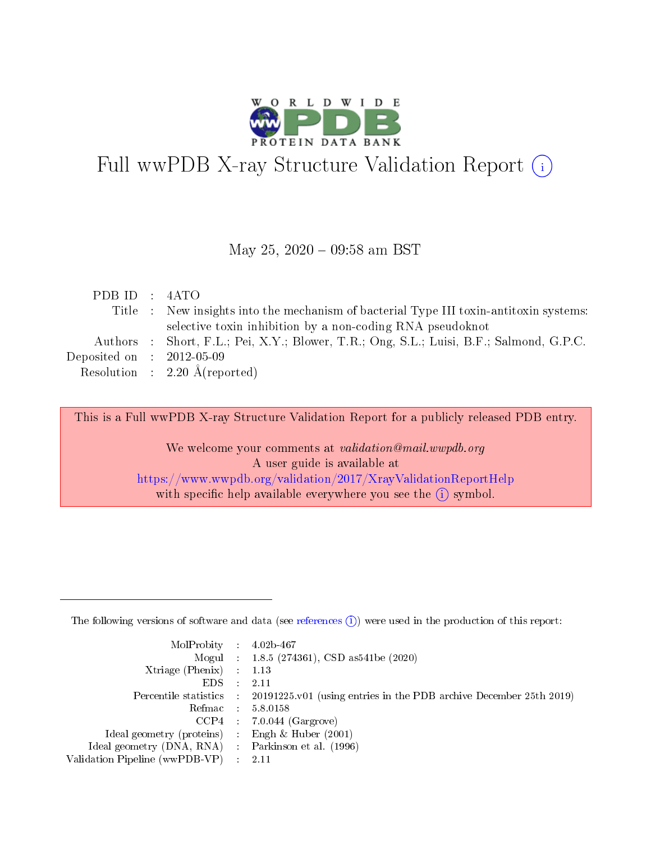

# Full wwPDB X-ray Structure Validation Report (i)

#### May 25,  $2020 - 09:58$  am BST

| PDB ID : 4ATO                        |                                                                                         |
|--------------------------------------|-----------------------------------------------------------------------------------------|
|                                      | Title : New insights into the mechanism of bacterial Type III toxin-antitoxin systems:  |
|                                      | selective toxin inhibition by a non-coding RNA pseudoknot                               |
|                                      | Authors : Short, F.L.; Pei, X.Y.; Blower, T.R.; Ong, S.L.; Luisi, B.F.; Salmond, G.P.C. |
| Deposited on $\therefore$ 2012-05-09 |                                                                                         |
|                                      | Resolution : $2.20 \text{ Å}$ (reported)                                                |

This is a Full wwPDB X-ray Structure Validation Report for a publicly released PDB entry.

We welcome your comments at validation@mail.wwpdb.org A user guide is available at <https://www.wwpdb.org/validation/2017/XrayValidationReportHelp> with specific help available everywhere you see the  $(i)$  symbol.

The following versions of software and data (see [references](https://www.wwpdb.org/validation/2017/XrayValidationReportHelp#references)  $(1)$ ) were used in the production of this report:

| $MolProbability$ 4.02b-467                          |               |                                                                                            |
|-----------------------------------------------------|---------------|--------------------------------------------------------------------------------------------|
|                                                     |               | Mogul : $1.8.5$ (274361), CSD as 541be (2020)                                              |
| Xtriage (Phenix) $: 1.13$                           |               |                                                                                            |
| EDS.                                                | $\mathcal{L}$ | -2.11                                                                                      |
|                                                     |               | Percentile statistics : 20191225.v01 (using entries in the PDB archive December 25th 2019) |
|                                                     |               | Refmac $5.8.0158$                                                                          |
| CCP4                                                |               | $7.0.044$ (Gargrove)                                                                       |
| Ideal geometry (proteins)                           | $\sim$        | Engh $\&$ Huber (2001)                                                                     |
| Ideal geometry (DNA, RNA) : Parkinson et al. (1996) |               |                                                                                            |
| Validation Pipeline (wwPDB-VP) : 2.11               |               |                                                                                            |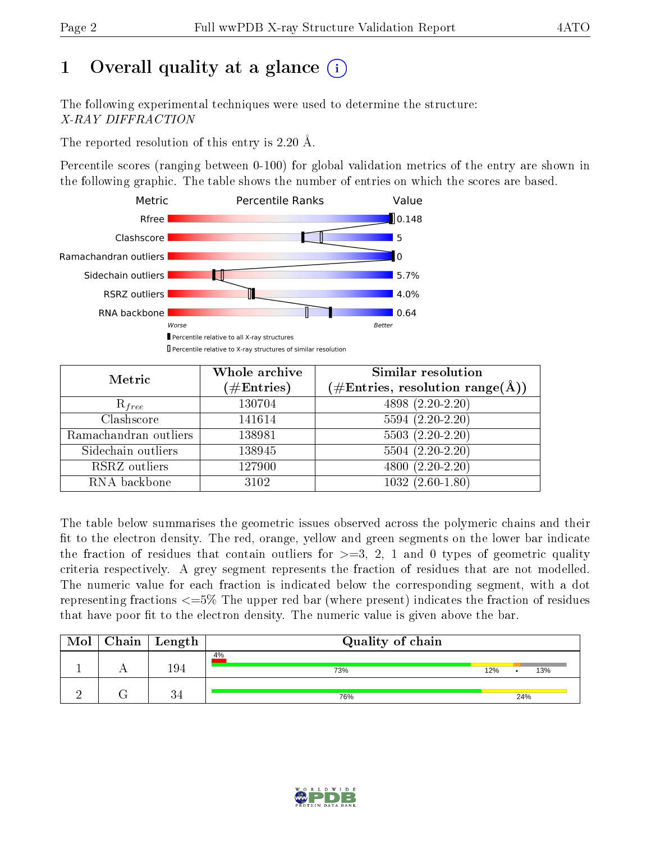# 1 [O](https://www.wwpdb.org/validation/2017/XrayValidationReportHelp#overall_quality)verall quality at a glance  $(i)$

The following experimental techniques were used to determine the structure: X-RAY DIFFRACTION

The reported resolution of this entry is 2.20 Å.

Percentile scores (ranging between 0-100) for global validation metrics of the entry are shown in the following graphic. The table shows the number of entries on which the scores are based.



| Metric                | Whole archive          | <b>Similar resolution</b>                          |
|-----------------------|------------------------|----------------------------------------------------|
|                       | $(\#\mathrm{Entries})$ | $(\text{\#Entries, resolution range}(\text{\AA}))$ |
| $R_{free}$            | 130704                 | $4898(2.20-2.20)$                                  |
| Clashscore            | 141614                 | $5594(2.20-2.20)$                                  |
| Ramachandran outliers | 138981                 | $5503(2.20-2.20)$                                  |
| Sidechain outliers    | 138945                 | $5504(2.20-2.20)$                                  |
| RSRZ outliers         | 127900                 | $4800(2.20-2.20)$                                  |
| RNA backbone          | 3102                   | $1032(2.60-1.80)$                                  |

The table below summarises the geometric issues observed across the polymeric chains and their fit to the electron density. The red, orange, yellow and green segments on the lower bar indicate the fraction of residues that contain outliers for  $>=3, 2, 1$  and 0 types of geometric quality criteria respectively. A grey segment represents the fraction of residues that are not modelled. The numeric value for each fraction is indicated below the corresponding segment, with a dot representing fractions  $\epsilon = 5\%$  The upper red bar (where present) indicates the fraction of residues that have poor fit to the electron density. The numeric value is given above the bar.

| Mol | Chain   Length | Quality of chain |     |     |     |
|-----|----------------|------------------|-----|-----|-----|
|     | 194            | 4%<br>73%        | 12% |     | 13% |
|     | 34             | 76%              |     | 24% |     |

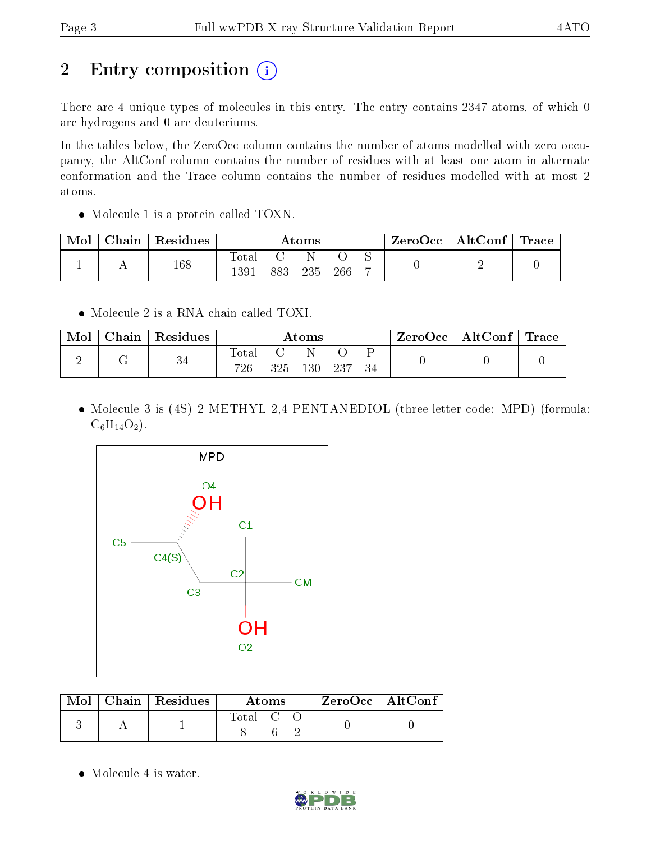# 2 Entry composition (i)

There are 4 unique types of molecules in this entry. The entry contains 2347 atoms, of which 0 are hydrogens and 0 are deuteriums.

In the tables below, the ZeroOcc column contains the number of atoms modelled with zero occupancy, the AltConf column contains the number of residues with at least one atom in alternate conformation and the Trace column contains the number of residues modelled with at most 2 atoms.

• Molecule 1 is a protein called TOXN.

| Mol | Chain   Residues | $\rm{Atoms}$           |     |     | ZeroOcc   AltConf   Trace |   |  |  |
|-----|------------------|------------------------|-----|-----|---------------------------|---|--|--|
|     | 168              | $_{\rm Total}$<br>1391 | 883 | 235 | 266                       | - |  |  |

• Molecule 2 is a RNA chain called TOXI.

| Mol | Chain | Residues |              | $\rm{Atoms}$ |  | $\text{ZeroOcc} \mid \text{AltConf} \mid \text{Trace}$ |  |
|-----|-------|----------|--------------|--------------|--|--------------------------------------------------------|--|
|     |       | 34       | Total<br>726 | 325 130 237  |  |                                                        |  |

• Molecule 3 is (4S)-2-METHYL-2,4-PENTANEDIOL (three-letter code: MPD) (formula:  $C_6H_{14}O_2$ .



|  | $\text{Mol}$   Chain   Residues | Atoms   |  | $ZeroOcc \   \ AltConf$ |  |  |
|--|---------------------------------|---------|--|-------------------------|--|--|
|  |                                 | Total C |  |                         |  |  |

• Molecule 4 is water.

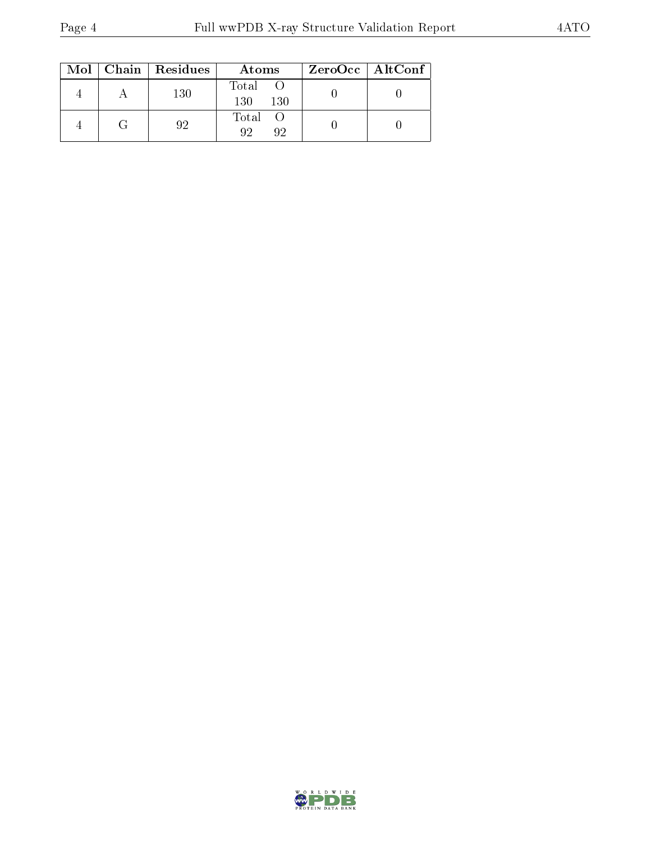|  | $Mol$   Chain   Residues | Atoms                           | ZeroOcc   AltConf |
|--|--------------------------|---------------------------------|-------------------|
|  | 130                      | Total<br>130<br>130             |                   |
|  | 92                       | Total O<br>Q <sub>2</sub><br>Q9 |                   |

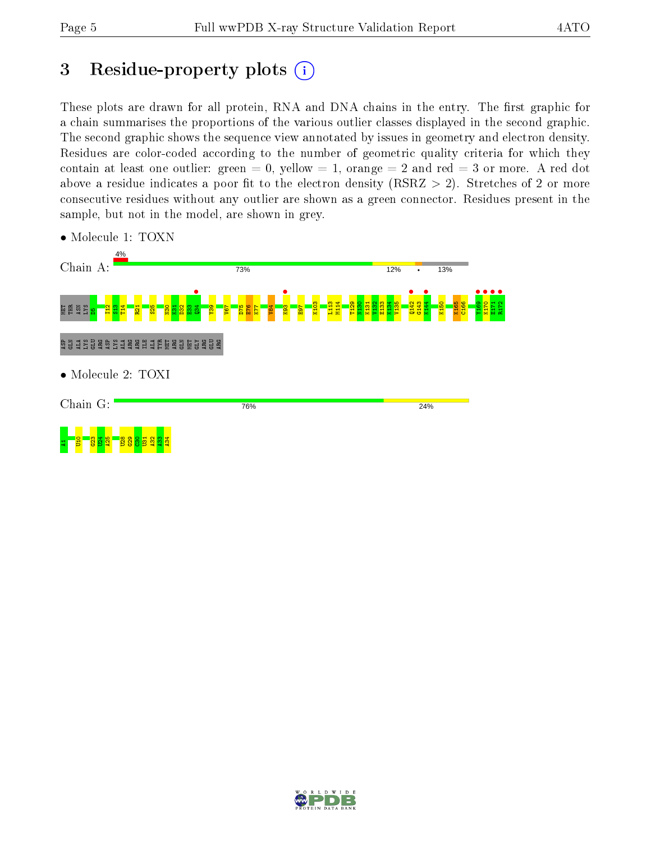## 3 Residue-property plots  $(i)$

These plots are drawn for all protein, RNA and DNA chains in the entry. The first graphic for a chain summarises the proportions of the various outlier classes displayed in the second graphic. The second graphic shows the sequence view annotated by issues in geometry and electron density. Residues are color-coded according to the number of geometric quality criteria for which they contain at least one outlier: green  $= 0$ , yellow  $= 1$ , orange  $= 2$  and red  $= 3$  or more. A red dot above a residue indicates a poor fit to the electron density (RSRZ  $> 2$ ). Stretches of 2 or more consecutive residues without any outlier are shown as a green connector. Residues present in the sample, but not in the model, are shown in grey.



• Molecule 1: TOXN

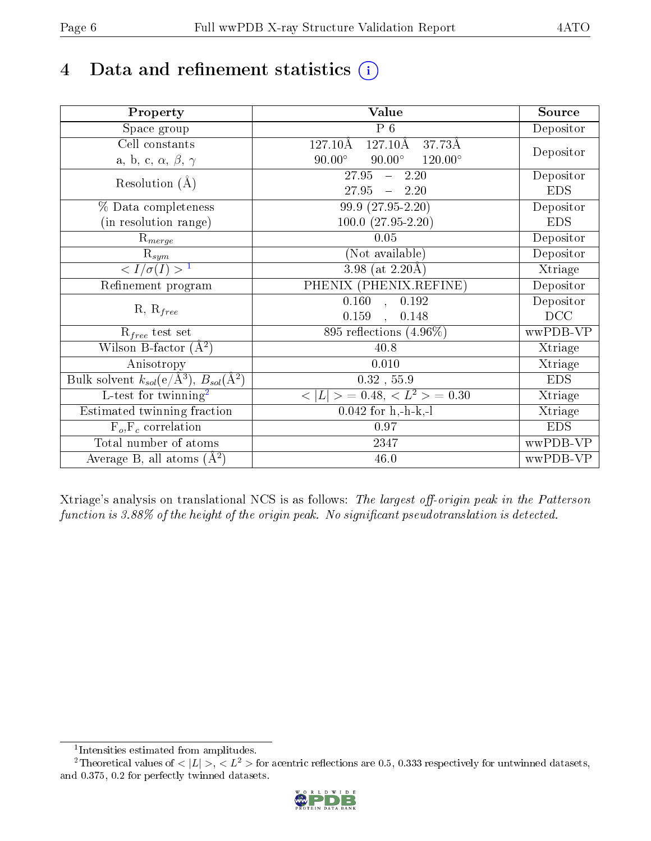# 4 Data and refinement statistics  $(i)$

| Property                                                             | Value                                              | Source     |
|----------------------------------------------------------------------|----------------------------------------------------|------------|
| Space group                                                          | $\overline{P}$ 6                                   | Depositor  |
| Cell constants                                                       | $127.10\text{\AA}$<br>$127.10\text{\AA}$<br>37.73Å |            |
| a, b, c, $\alpha$ , $\beta$ , $\gamma$                               | $90.00^\circ$<br>$90.00^\circ$<br>$120.00^{\circ}$ | Depositor  |
| Resolution $(A)$                                                     | 27.95<br>$-2.20$                                   | Depositor  |
|                                                                      | 27.95<br>$-2.20$                                   | <b>EDS</b> |
| % Data completeness                                                  | 99.9 (27.95-2.20)                                  | Depositor  |
| (in resolution range)                                                | $100.0 (27.95 - 2.20)$                             | <b>EDS</b> |
| $R_{merge}$                                                          | 0.05                                               | Depositor  |
| $\mathrm{R}_{sym}$                                                   | (Not available)                                    | Depositor  |
| $\sqrt{I/\sigma}(I) > 1$                                             | $\overline{3.98}$ (at 2.20 Å)                      | Xtriage    |
| Refinement program                                                   | PHENIX (PHENIX.REFINE)                             | Depositor  |
|                                                                      | 0.192<br>$\overline{0.160}$ ,                      | Depositor  |
| $R, R_{free}$                                                        | 0.159<br>0.148                                     | DCC        |
| $R_{free}$ test set                                                  | 895 reflections $(4.96\%)$                         | wwPDB-VP   |
| Wilson B-factor $(A^2)$                                              | 40.8                                               | Xtriage    |
| Anisotropy                                                           | 0.010                                              | Xtriage    |
| Bulk solvent $k_{sol}(e/\mathring{A}^3)$ , $B_{sol}(\mathring{A}^2)$ | $0.32$ , 55.9                                      | <b>EDS</b> |
| L-test for twinning <sup>2</sup>                                     | $< L >$ = 0.48, $< L2 >$ = 0.30                    | Xtriage    |
| Estimated twinning fraction                                          | $0.042$ for h,-h-k,-l                              | Xtriage    |
| $F_o, F_c$ correlation                                               | 0.97                                               | <b>EDS</b> |
| Total number of atoms                                                | 2347                                               | wwPDB-VP   |
| Average B, all atoms $(A^2)$                                         | 46.0                                               | wwPDB-VP   |

Xtriage's analysis on translational NCS is as follows: The largest off-origin peak in the Patterson function is  $3.88\%$  of the height of the origin peak. No significant pseudotranslation is detected.

<sup>&</sup>lt;sup>2</sup>Theoretical values of  $\langle |L| \rangle$ ,  $\langle L^2 \rangle$  for acentric reflections are 0.5, 0.333 respectively for untwinned datasets, and 0.375, 0.2 for perfectly twinned datasets.



<span id="page-5-1"></span><span id="page-5-0"></span><sup>1</sup> Intensities estimated from amplitudes.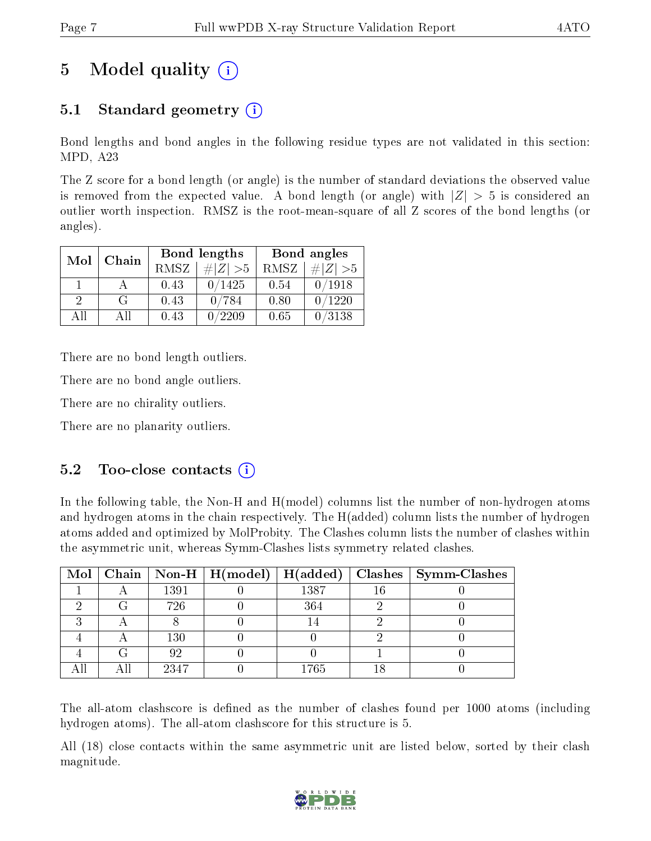## 5 Model quality  $(i)$

## 5.1 Standard geometry  $(i)$

Bond lengths and bond angles in the following residue types are not validated in this section: MPD, A23

The Z score for a bond length (or angle) is the number of standard deviations the observed value is removed from the expected value. A bond length (or angle) with  $|Z| > 5$  is considered an outlier worth inspection. RMSZ is the root-mean-square of all Z scores of the bond lengths (or angles).

| Mol           | Chain |      | <b>Bond lengths</b> | Bond angles |             |  |
|---------------|-------|------|---------------------|-------------|-------------|--|
|               |       | RMSZ | $\# Z  > 5$         | RMSZ        | $\ Z\  > 5$ |  |
|               |       | 0.43 | 0/1425              | 0.54        | 0/1918      |  |
| $\mathcal{D}$ | G     | 0.43 | 0/784               | 0.80        | 0/1220      |  |
| AΠ            | A 11  | 0.43 | /2209               | 0.65        | 0/3138      |  |

There are no bond length outliers.

There are no bond angle outliers.

There are no chirality outliers.

There are no planarity outliers.

### $5.2$  Too-close contacts  $(i)$

In the following table, the Non-H and H(model) columns list the number of non-hydrogen atoms and hydrogen atoms in the chain respectively. The H(added) column lists the number of hydrogen atoms added and optimized by MolProbity. The Clashes column lists the number of clashes within the asymmetric unit, whereas Symm-Clashes lists symmetry related clashes.

|   |      |      |    | Mol   Chain   Non-H   H(model)   H(added)   Clashes   Symm-Clashes |
|---|------|------|----|--------------------------------------------------------------------|
|   | 1391 | 1387 | 16 |                                                                    |
|   | 726  | 364  |    |                                                                    |
|   |      |      |    |                                                                    |
|   | 130  |      |    |                                                                    |
| G | 92   |      |    |                                                                    |
|   | 2347 | 1765 |    |                                                                    |

The all-atom clashscore is defined as the number of clashes found per 1000 atoms (including hydrogen atoms). The all-atom clashscore for this structure is 5.

All (18) close contacts within the same asymmetric unit are listed below, sorted by their clash magnitude.

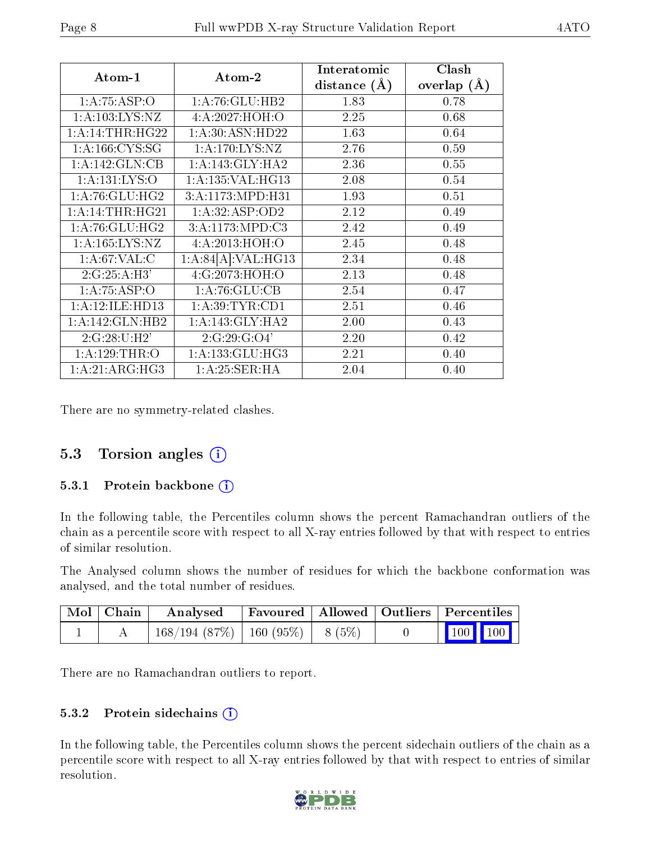| Atom-1                          | Atom-2               | Interatomic<br>distance $(\AA)$ | Clash<br>overlap $(\AA)$ |
|---------------------------------|----------------------|---------------------------------|--------------------------|
| 1:A:75:ASP:O                    | 1:A:76:GLU:HB2       | 1.83                            | 0.78                     |
| 1: A: 103: LYS: NZ              | 4:A:2027:HOH:O       | 2.25                            | 0.68                     |
| 1:A:14:THR:HG22                 | 1:A:30:ASN:HD22      | 1.63                            | 0.64                     |
| 1: A: 166: CYS: SG              | 1:A:170:LYS:NZ       | 2.76                            | 0.59                     |
| 1:A:142:GLN:CB                  | 1:A:143:GLY:HA2      | 2.36                            | 0.55                     |
| 1: A: 131: LYS: O               | 1: A: 135: VAL: HG13 | 2.08                            | 0.54                     |
| 1: A:76: GLU: HG2               | 3:A:1173:MPD:H31     | 1.93                            | 0.51                     |
| 1:A:14:THR:HG21                 | 1:A:32:ASP:OD2       | 2.12                            | 0.49                     |
| 1: A:76: GLU: HG2               | 3: A: 1173: MPD: C3  | 2.42                            | 0.49                     |
| $1: A: 165: LYS: \overline{NZ}$ | 4:A:2013:HOH:O       | 2.45                            | 0.48                     |
| 1: A:67:VAL: C                  | 1:A:84[A]:VAL:HG13   | 2.34                            | 0.48                     |
| 2:G:25:A:H3'                    | 4:G:2073:HOH:O       | 2.13                            | 0.48                     |
| 1:A:75:ASP:O                    | 1:A:76:GLU:CB        | 2.54                            | 0.47                     |
| 1:A:12:ILE:HD13                 | 1: A:39:TYR:CD1      | 2.51                            | 0.46                     |
| $1:A:142:GLN:H\overline{B2}$    | 1:A:143:GLY:HA2      | 2.00                            | 0.43                     |
| 2:G:28:U:H2'                    | 2:G:29:G:O4'         | 2.20                            | 0.42                     |
| 1:A:129:THR:O                   | 1: A: 133: GLU: HG3  | 2.21                            | 0.40                     |
| 1:A:21:ARG:HG3                  | 1:A:25:SER:HA        | 2.04                            | 0.40                     |

There are no symmetry-related clashes.

### 5.3 Torsion angles (i)

#### 5.3.1 Protein backbone  $(i)$

In the following table, the Percentiles column shows the percent Ramachandran outliers of the chain as a percentile score with respect to all X-ray entries followed by that with respect to entries of similar resolution.

The Analysed column shows the number of residues for which the backbone conformation was analysed, and the total number of residues.

| $\mid$ Mol $\mid$ Chain $\mid$ | Analysed                                |  | Favoured   Allowed   Outliers   Percentiles                             |  |
|--------------------------------|-----------------------------------------|--|-------------------------------------------------------------------------|--|
|                                | $168/194$ (87\%)   160 (95\%)   8 (5\%) |  | $\begin{array}{ c c c c c }\n\hline\n100 & 100 & \\\hline\n\end{array}$ |  |

There are no Ramachandran outliers to report.

#### 5.3.2 Protein sidechains  $(i)$

In the following table, the Percentiles column shows the percent sidechain outliers of the chain as a percentile score with respect to all X-ray entries followed by that with respect to entries of similar resolution.

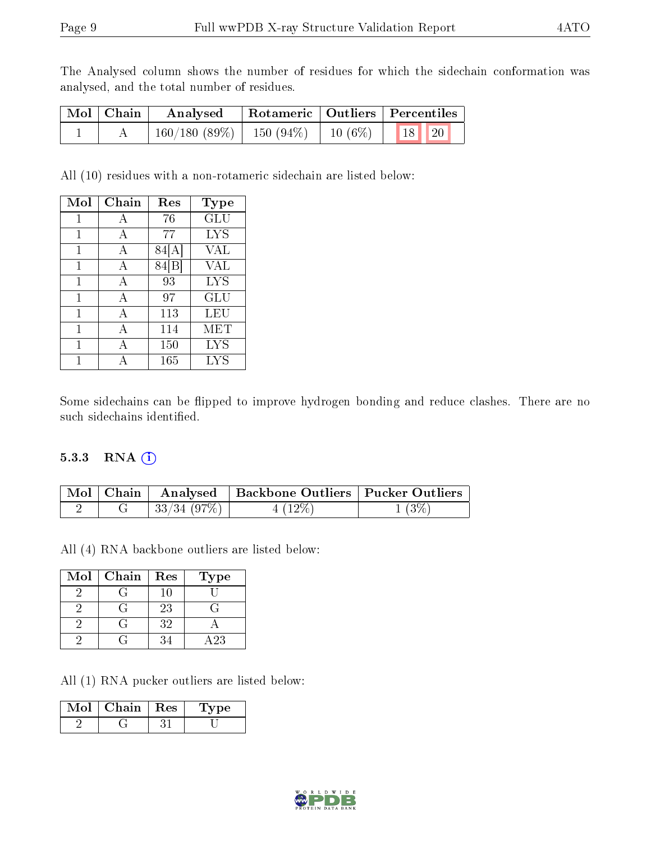The Analysed column shows the number of residues for which the sidechain conformation was analysed, and the total number of residues.

| Mol   Chain | Analysed                                           |  | Rotameric   Outliers   Percentiles |  |  |
|-------------|----------------------------------------------------|--|------------------------------------|--|--|
|             | $160/180$ (89\%)   150 (94\%)   10 (6\%)   18   20 |  |                                    |  |  |

All (10) residues with a non-rotameric sidechain are listed below:

| Mol | Chain | Res   | Type       |
|-----|-------|-------|------------|
| 1   | А     | 76    | GLU        |
| 1   | А     | 77    | <b>LYS</b> |
| 1   | А     | 84  A | VAL        |
| 1   | А     | 84 B  | VAL        |
| 1   | А     | 93    | LYS        |
| 1   | А     | 97    | GLU        |
| 1   | А     | 113   | LEU        |
| 1   | А     | 114   | <b>MET</b> |
| 1   |       | 150   | LYS        |
|     |       | 165   | LYS        |

Some sidechains can be flipped to improve hydrogen bonding and reduce clashes. There are no such sidechains identified.

#### 5.3.3 RNA (1)

|  |                         | Mol   Chain   Analysed   Backbone Outliers   Pucker Outliers |          |
|--|-------------------------|--------------------------------------------------------------|----------|
|  | $\frac{1}{33/34}$ (97%) | $4(12\%)$                                                    | $1(3\%)$ |

All (4) RNA backbone outliers are listed below:

| Mol | Chain | Res | <b>Type</b>      |
|-----|-------|-----|------------------|
|     |       | 10. |                  |
|     |       | 23  |                  |
|     |       | 32  |                  |
|     |       | 34  | $\overline{A23}$ |

All (1) RNA pucker outliers are listed below:

| Mol | Chain | $+$ Res $+$ | vpe |  |
|-----|-------|-------------|-----|--|
|     |       |             |     |  |

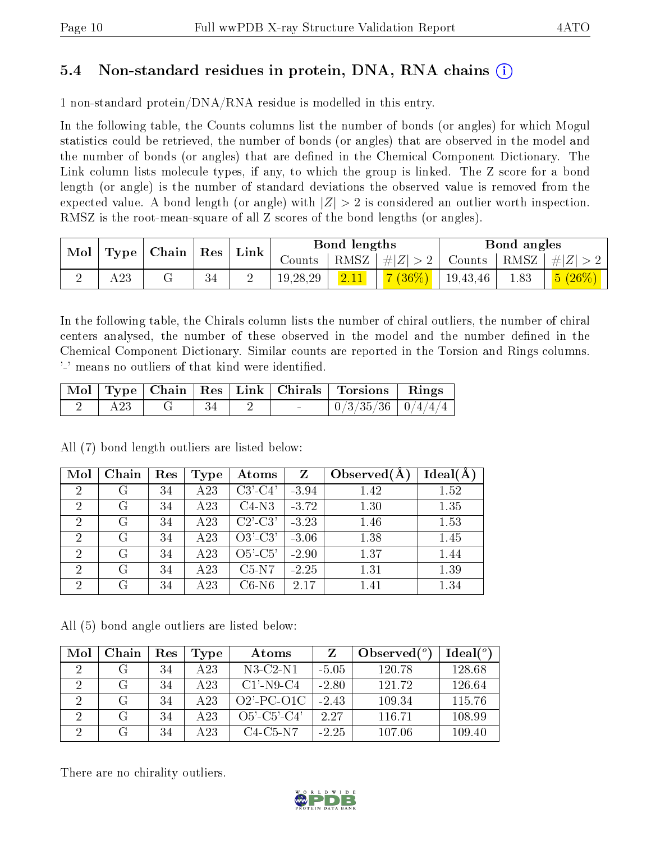### 5.4 Non-standard residues in protein, DNA, RNA chains (i)

1 non-standard protein/DNA/RNA residue is modelled in this entry.

In the following table, the Counts columns list the number of bonds (or angles) for which Mogul statistics could be retrieved, the number of bonds (or angles) that are observed in the model and the number of bonds (or angles) that are dened in the Chemical Component Dictionary. The Link column lists molecule types, if any, to which the group is linked. The Z score for a bond length (or angle) is the number of standard deviations the observed value is removed from the expected value. A bond length (or angle) with  $|Z| > 2$  is considered an outlier worth inspection. RMSZ is the root-mean-square of all Z scores of the bond lengths (or angles).

| Mol |     | $\vert$ Type $\vert$ Chain $\vert$ Res $\vert$ |    | $^+$ Link | Bond lengths |      |                                        | Bond angles   |      |         |
|-----|-----|------------------------------------------------|----|-----------|--------------|------|----------------------------------------|---------------|------|---------|
|     |     |                                                |    |           |              |      | Counts   RMSZ $\vert \#  Z  > 2 \vert$ | Counts   RMSZ |      | $\# Z $ |
|     | 423 |                                                | 34 |           | 19, 28, 29   | 2.11 | $ 7(36\%) $                            | 19,43,46      | 1.83 | 5(26%)  |

In the following table, the Chirals column lists the number of chiral outliers, the number of chiral centers analysed, the number of these observed in the model and the number defined in the Chemical Component Dictionary. Similar counts are reported in the Torsion and Rings columns. '-' means no outliers of that kind were identified.

|  |  |  | Mol   Type   Chain   Res   Link   Chirals   Torsions   Rings |  |
|--|--|--|--------------------------------------------------------------|--|
|  |  |  | $\mid 0/3/35/36 \mid 0/4/4/4 \mid$                           |  |

All (7) bond length outliers are listed below:

| Mol            | Chain | Res | Type | Atoms     | Z       | Observed $(A)$ | Ideal(A) |
|----------------|-------|-----|------|-----------|---------|----------------|----------|
| $\overline{2}$ | G     | 34  | A23  | $C3'-C4'$ | $-3.94$ | 1.42           | 1.52     |
| $\overline{2}$ | G     | 34  | A23  | $C4-N3$   | $-3.72$ | 1.30           | 1.35     |
| $\overline{2}$ | G     | 34  | A23  | $C2'-C3'$ | $-3.23$ | 1.46           | 1.53     |
| $\overline{2}$ | G     | 34  | A23  | $O3'-C3'$ | $-3.06$ | 1.38           | 1.45     |
| $\overline{2}$ | G     | 34  | A23  | $O5'-C5'$ | $-2.90$ | 1.37           | 1.44     |
| $\mathcal{D}$  | G     | 34  | A23  | $C5-N7$   | $-2.25$ | 1.31           | 1.39     |
| $\mathcal{D}$  | G     | 34  | A 23 | $C6-N6$   | 2.17    | $1.41\,$       | 1.34     |

All (5) bond angle outliers are listed below:

| Mol | Chain | Res | Type            | Atoms                 |         | Observed $(°)$ | Ideal $(°)$ |
|-----|-------|-----|-----------------|-----------------------|---------|----------------|-------------|
| 2   |       | 34  | A 23            | $N3-C2-N1$            | -5.05   | 120.78         | 128.68      |
| 2   | G     | 34  | A 23            | $C1'$ -N9-C4          | $-2.80$ | 121.72         | 126.64      |
|     | G     | 34  | A 23            | $O2'$ -PC-O1C         | $-2.43$ | 109.34         | 115.76      |
| 2   | G     | 34  | A <sub>23</sub> | $O5'$ - $C5'$ - $C4'$ | 2.27    | 116.71         | 108.99      |
|     | G     | 34  | A23             | C4-C5-N7              | $-2.25$ | 107.06         | 109.40      |

There are no chirality outliers.

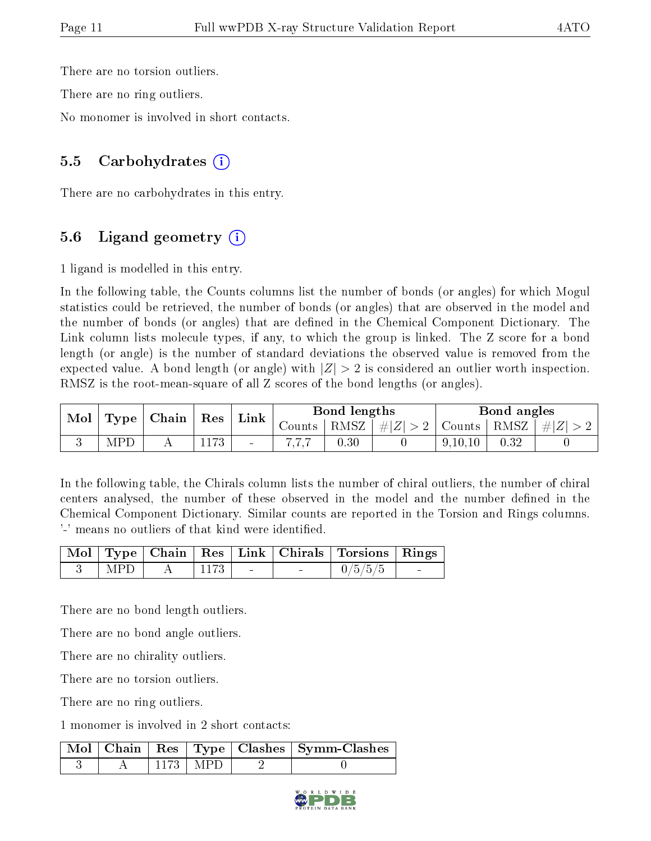There are no torsion outliers.

There are no ring outliers.

No monomer is involved in short contacts.

#### 5.5 Carbohydrates  $(i)$

There are no carbohydrates in this entry.

### 5.6 Ligand geometry  $(i)$

1 ligand is modelled in this entry.

In the following table, the Counts columns list the number of bonds (or angles) for which Mogul statistics could be retrieved, the number of bonds (or angles) that are observed in the model and the number of bonds (or angles) that are defined in the Chemical Component Dictionary. The Link column lists molecule types, if any, to which the group is linked. The Z score for a bond length (or angle) is the number of standard deviations the observed value is removed from the expected value. A bond length (or angle) with  $|Z| > 2$  is considered an outlier worth inspection. RMSZ is the root-mean-square of all Z scores of the bond lengths (or angles).

| <b>Mol</b> | $\Gamma$ Type $\Gamma$ | Chain | ${\rm Res}$ | Link   | Bond lengths |                            |             | Bond angles   |      |         |
|------------|------------------------|-------|-------------|--------|--------------|----------------------------|-------------|---------------|------|---------|
|            |                        |       |             |        | Counts       | $^{\circ}$ RMSZ $_{\perp}$ | $\# Z  > 2$ | Counts   RMSZ |      | $\ H\ $ |
|            | MPI                    |       | 1173        | $\sim$ |              | 0.30                       |             | 9,10,10       | 0.32 |         |

In the following table, the Chirals column lists the number of chiral outliers, the number of chiral centers analysed, the number of these observed in the model and the number defined in the Chemical Component Dictionary. Similar counts are reported in the Torsion and Rings columns. '-' means no outliers of that kind were identified.

|       |      |                                   | Mol   Type   Chain   Res   Link   Chirals   Torsions   Rings |  |
|-------|------|-----------------------------------|--------------------------------------------------------------|--|
| ∣ MPD | 1173 | <b>Contract Contract Contract</b> | 0/5/5/5                                                      |  |

There are no bond length outliers.

There are no bond angle outliers.

There are no chirality outliers.

There are no torsion outliers.

There are no ring outliers.

1 monomer is involved in 2 short contacts:

|  |               | Mol   Chain   Res   Type   Clashes   Symm-Clashes |
|--|---------------|---------------------------------------------------|
|  | -1173   MPD - |                                                   |

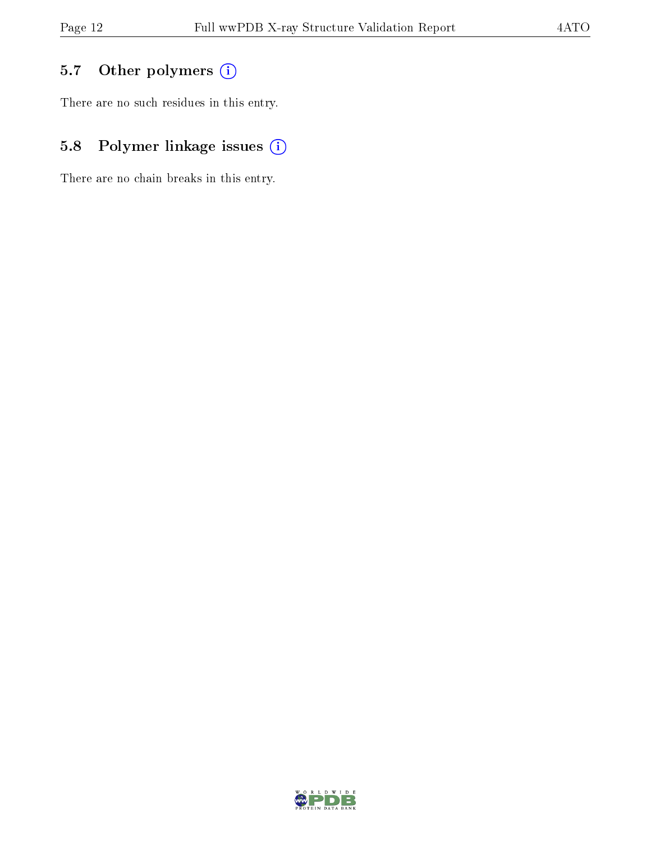## 5.7 [O](https://www.wwpdb.org/validation/2017/XrayValidationReportHelp#nonstandard_residues_and_ligands)ther polymers (i)

There are no such residues in this entry.

## 5.8 Polymer linkage issues (i)

There are no chain breaks in this entry.

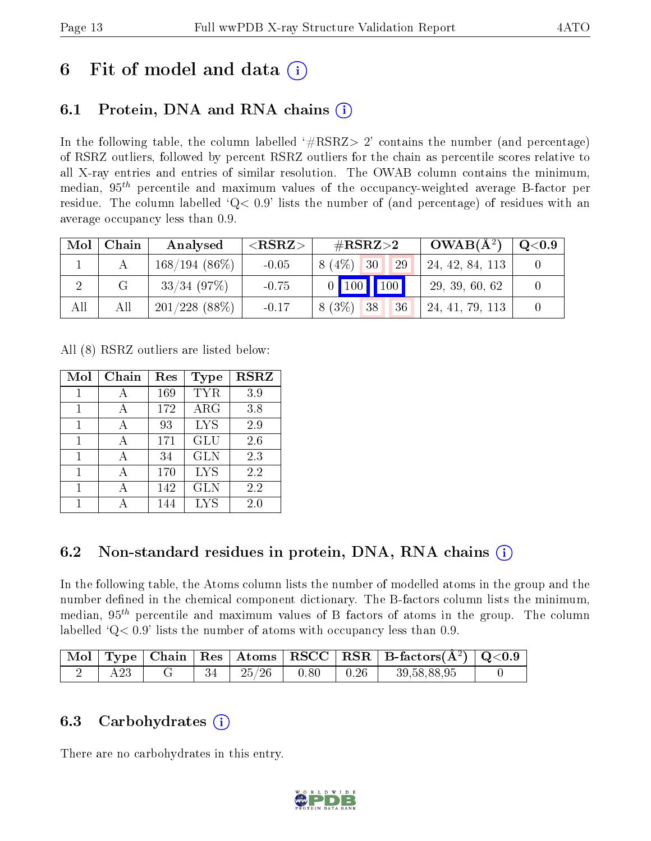## 6 Fit of model and data  $\left( \cdot \right)$

## 6.1 Protein, DNA and RNA chains (i)

In the following table, the column labelled  $#RSRZ>2'$  contains the number (and percentage) of RSRZ outliers, followed by percent RSRZ outliers for the chain as percentile scores relative to all X-ray entries and entries of similar resolution. The OWAB column contains the minimum, median,  $95<sup>th</sup>$  percentile and maximum values of the occupancy-weighted average B-factor per residue. The column labelled  $Q< 0.9$  lists the number of (and percentage) of residues with an average occupancy less than 0.9.

| Mol | Chain | Analysed         | ${ <\hspace{-1.5pt}{\mathrm{RSRZ}} \hspace{-1.5pt}>}$ | $\#\text{RSRZ}{>}2$   | $OWAB(A^2)$     | $\rm{Q}\textcolor{black}{<}0.9$ $\mid$ |
|-----|-------|------------------|-------------------------------------------------------|-----------------------|-----------------|----------------------------------------|
|     |       | $168/194(86\%)$  | $-0.05$                                               | 8 (4\%)<br> 30 <br>29 | 24, 42, 84, 113 |                                        |
|     |       | $33/34$ (97\%)   | $-0.75$                                               | 0   100   100         | 29, 39, 60, 62  |                                        |
| All | All   | $201/228$ (88\%) | $-0.17$                                               | $8(3\%)$<br>38<br>36  | 24, 41, 79, 113 |                                        |

All (8) RSRZ outliers are listed below:

| Mol          | Chain | Res | Type       | <b>RSRZ</b> |
|--------------|-------|-----|------------|-------------|
|              |       | 169 | <b>TYR</b> | 3.9         |
|              |       | 172 | $\rm{ARG}$ | 3.8         |
| $\mathbf{1}$ | А     | 93  | <b>LYS</b> | 2.9         |
| 1            | А     | 171 | <b>GLU</b> | 2.6         |
| 1            | А     | 34  | <b>GLN</b> | 2.3         |
| 1            |       | 170 | <b>LYS</b> | 2.2         |
| 1            |       | 142 | <b>GLN</b> | 2.2         |
|              |       | 144 | <b>LYS</b> | 2.0         |

## 6.2 Non-standard residues in protein, DNA, RNA chains (i)

In the following table, the Atoms column lists the number of modelled atoms in the group and the number defined in the chemical component dictionary. The B-factors column lists the minimum, median,  $95<sup>th</sup>$  percentile and maximum values of B factors of atoms in the group. The column labelled  $Q< 0.9$ ' lists the number of atoms with occupancy less than 0.9.

|  |  |       |      |      | $\mid$ Mol $\mid$ Type $\mid$ Chain $\mid$ Res $\mid$ Atoms $\mid$ RSCC $\mid$ RSR $\mid$ B-factors( $A^2$ ) $\mid$ Q<0.9 |  |
|--|--|-------|------|------|---------------------------------------------------------------------------------------------------------------------------|--|
|  |  | 25/26 | 0.80 | 0.26 | 39,58,88,95                                                                                                               |  |

### 6.3 Carbohydrates (i)

There are no carbohydrates in this entry.